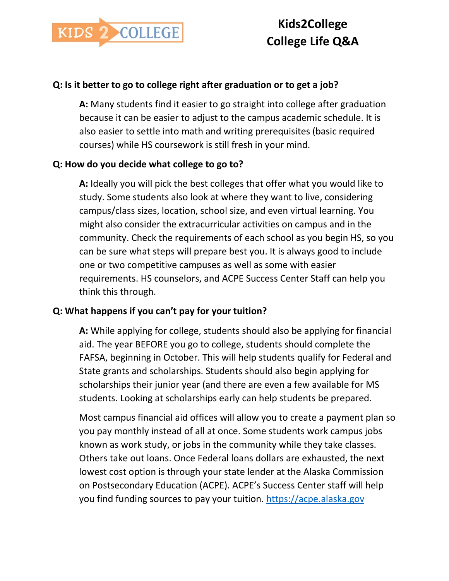

## **Q: Is it better to go to college right after graduation or to get a job?**

**A:** Many students find it easier to go straight into college after graduation because it can be easier to adjust to the campus academic schedule. It is also easier to settle into math and writing prerequisites (basic required courses) while HS coursework is still fresh in your mind.

#### **Q: How do you decide what college to go to?**

**A:** Ideally you will pick the best colleges that offer what you would like to study. Some students also look at where they want to live, considering campus/class sizes, location, school size, and even virtual learning. You might also consider the extracurricular activities on campus and in the community. Check the requirements of each school as you begin HS, so you can be sure what steps will prepare best you. It is always good to include one or two competitive campuses as well as some with easier requirements. HS counselors, and ACPE Success Center Staff can help you think this through.

## **Q: What happens if you can't pay for your tuition?**

**A:** While applying for college, students should also be applying for financial aid. The year BEFORE you go to college, students should complete the FAFSA, beginning in October. This will help students qualify for Federal and State grants and scholarships. Students should also begin applying for scholarships their junior year (and there are even a few available for MS students. Looking at scholarships early can help students be prepared.

Most campus financial aid offices will allow you to create a payment plan so you pay monthly instead of all at once. Some students work campus jobs known as work study, or jobs in the community while they take classes. Others take out loans. Once Federal loans dollars are exhausted, the next lowest cost option is through your state lender at the Alaska Commission on Postsecondary Education (ACPE). ACPE's Success Center staff will help you find funding sources to pay your tuition. [https://acpe.alaska.gov](https://acpe.alaska.gov/)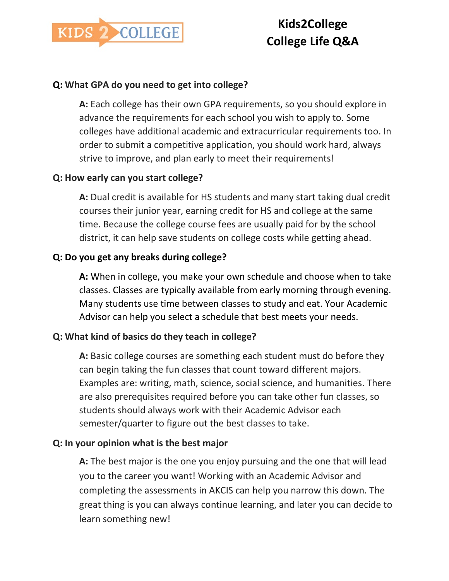

## **Q: What GPA do you need to get into college?**

**A:** Each college has their own GPA requirements, so you should explore in advance the requirements for each school you wish to apply to. Some colleges have additional academic and extracurricular requirements too. In order to submit a competitive application, you should work hard, always strive to improve, and plan early to meet their requirements!

## **Q: How early can you start college?**

**A:** Dual credit is available for HS students and many start taking dual credit courses their junior year, earning credit for HS and college at the same time. Because the college course fees are usually paid for by the school district, it can help save students on college costs while getting ahead.

## **Q: Do you get any breaks during college?**

**A:** When in college, you make your own schedule and choose when to take classes. Classes are typically available from early morning through evening. Many students use time between classes to study and eat. Your Academic Advisor can help you select a schedule that best meets your needs.

## **Q: What kind of basics do they teach in college?**

**A:** Basic college courses are something each student must do before they can begin taking the fun classes that count toward different majors. Examples are: writing, math, science, social science, and humanities. There are also prerequisites required before you can take other fun classes, so students should always work with their Academic Advisor each semester/quarter to figure out the best classes to take.

## **Q: In your opinion what is the best major**

**A:** The best major is the one you enjoy pursuing and the one that will lead you to the career you want! Working with an Academic Advisor and completing the assessments in AKCIS can help you narrow this down. The great thing is you can always continue learning, and later you can decide to learn something new!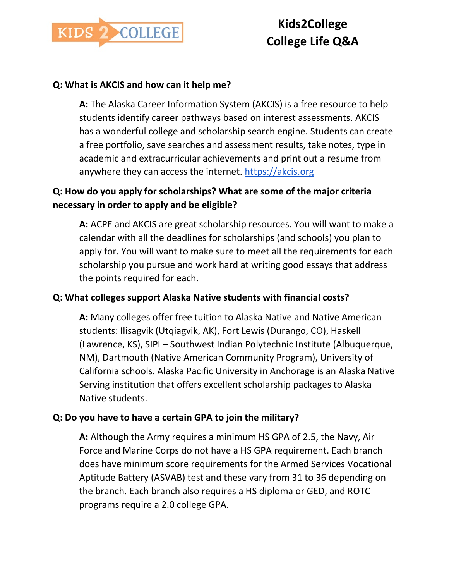

## **Q: What is AKCIS and how can it help me?**

**A:** The Alaska Career Information System (AKCIS) is a free resource to help students identify career pathways based on interest assessments. AKCIS has a wonderful college and scholarship search engine. Students can create a free portfolio, save searches and assessment results, take notes, type in academic and extracurricular achievements and print out a resume from anywhere they can access the internet. [https://akcis.org](https://akcis.org/)

## **Q: How do you apply for scholarships? What are some of the major criteria necessary in order to apply and be eligible?**

**A:** ACPE and AKCIS are great scholarship resources. You will want to make a calendar with all the deadlines for scholarships (and schools) you plan to apply for. You will want to make sure to meet all the requirements for each scholarship you pursue and work hard at writing good essays that address the points required for each.

## **Q: What colleges support Alaska Native students with financial costs?**

**A:** Many colleges offer free tuition to Alaska Native and Native American students: Ilisagvik (Utqiagvik, AK), Fort Lewis (Durango, CO), Haskell (Lawrence, KS), SIPI – Southwest Indian Polytechnic Institute (Albuquerque, NM), Dartmouth (Native American Community Program), University of California schools. Alaska Pacific University in Anchorage is an Alaska Native Serving institution that offers excellent scholarship packages to Alaska Native students.

## **Q: Do you have to have a certain GPA to join the military?**

**A:** Although the Army requires a minimum HS GPA of 2.5, the Navy, Air Force and Marine Corps do not have a HS GPA requirement. Each branch does have minimum score requirements for the Armed Services Vocational Aptitude Battery (ASVAB) test and these vary from 31 to 36 depending on the branch. Each branch also requires a HS diploma or GED, and ROTC programs require a 2.0 college GPA.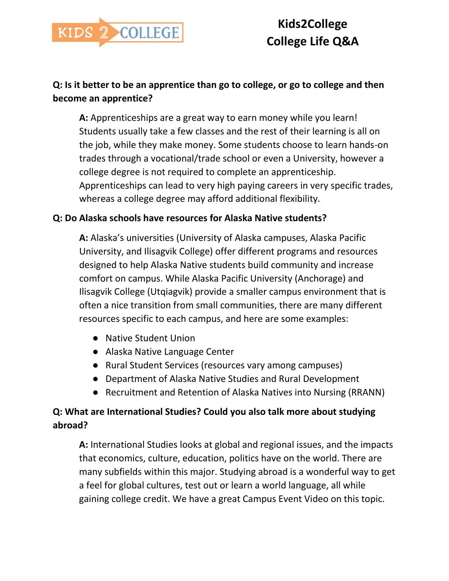

## **Q: Is it better to be an apprentice than go to college, or go to college and then become an apprentice?**

**A:** Apprenticeships are a great way to earn money while you learn! Students usually take a few classes and the rest of their learning is all on the job, while they make money. Some students choose to learn hands-on trades through a vocational/trade school or even a University, however a college degree is not required to complete an apprenticeship. Apprenticeships can lead to very high paying careers in very specific trades, whereas a college degree may afford additional flexibility.

## **Q: Do Alaska schools have resources for Alaska Native students?**

**A:** Alaska's universities (University of Alaska campuses, Alaska Pacific University, and Ilisagvik College) offer different programs and resources designed to help Alaska Native students build community and increase comfort on campus. While Alaska Pacific University (Anchorage) and Ilisagvik College (Utqiagvik) provide a smaller campus environment that is often a nice transition from small communities, there are many different resources specific to each campus, and here are some examples:

- Native Student Union
- Alaska Native Language Center
- Rural Student Services (resources vary among campuses)
- Department of Alaska Native Studies and Rural Development
- Recruitment and Retention of Alaska Natives into Nursing (RRANN)

## **Q: What are International Studies? Could you also talk more about studying abroad?**

**A:** International Studies looks at global and regional issues, and the impacts that economics, culture, education, politics have on the world. There are many subfields within this major. Studying abroad is a wonderful way to get a feel for global cultures, test out or learn a world language, all while gaining college credit. We have a great Campus Event Video on this topic.